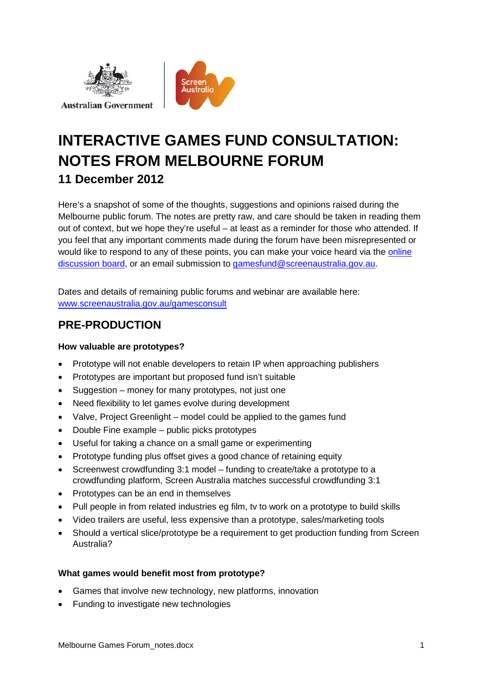



# **INTERACTIVE GAMES FUND CONSULTATION: NOTES FROM MELBOURNE FORUM 11 December 2012**

Here's a snapshot of some of the thoughts, suggestions and opinions raised during the Melbourne public forum. The notes are pretty raw, and care should be taken in reading them out of context, but we hope they're useful – at least as a reminder for those who attended. If you feel that any important comments made during the forum have been misrepresented or would like to respond to any of these points, you can make your voice heard via the [online](http://www.screenaustralia.gov.au/gamesoptions/)  [discussion board,](http://www.screenaustralia.gov.au/gamesoptions/) or an email submission to [gamesfund@screenaustralia.gov.au.](mailto:gamesfund@screenaustralia.gov.au)

Dates and details of remaining public forums and webinar are available here: [www.screenaustralia.gov.au/gamesconsult](http://www.screenaustralia.gov.au/about_us/new_directions/games_consult.aspx)

## **PRE-PRODUCTION**

### **How valuable are prototypes?**

- Prototype will not enable developers to retain IP when approaching publishers
- Prototypes are important but proposed fund isn't suitable
- Suggestion money for many prototypes, not just one
- Need flexibility to let games evolve during development
- Valve, Project Greenlight model could be applied to the games fund
- Double Fine example public picks prototypes
- Useful for taking a chance on a small game or experimenting
- Prototype funding plus offset gives a good chance of retaining equity
- Screenwest crowdfunding 3:1 model funding to create/take a prototype to a crowdfunding platform, Screen Australia matches successful crowdfunding 3:1
- Prototypes can be an end in themselves
- Pull people in from related industries eg film, tv to work on a prototype to build skills
- Video trailers are useful, less expensive than a prototype, sales/marketing tools
- Should a vertical slice/prototype be a requirement to get production funding from Screen Australia?

### **What games would benefit most from prototype?**

- Games that involve new technology, new platforms, innovation
- Funding to investigate new technologies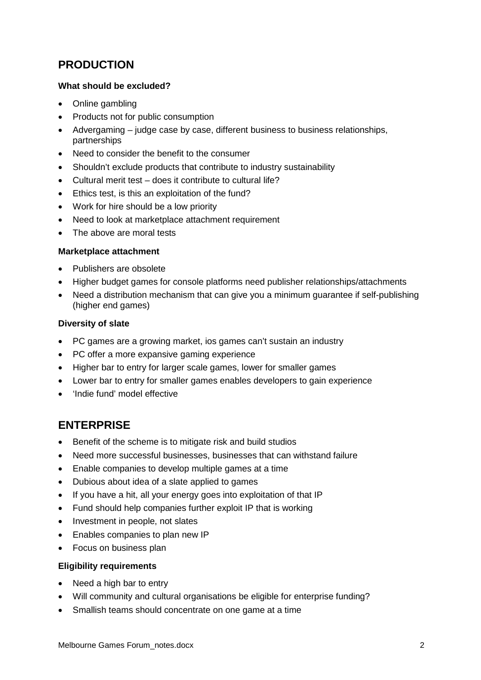# **PRODUCTION**

### **What should be excluded?**

- Online gambling
- Products not for public consumption
- Advergaming judge case by case, different business to business relationships, partnerships
- Need to consider the benefit to the consumer
- Shouldn't exclude products that contribute to industry sustainability
- Cultural merit test does it contribute to cultural life?
- Ethics test, is this an exploitation of the fund?
- Work for hire should be a low priority
- Need to look at marketplace attachment requirement
- The above are moral tests

#### **Marketplace attachment**

- Publishers are obsolete
- Higher budget games for console platforms need publisher relationships/attachments
- Need a distribution mechanism that can give you a minimum quarantee if self-publishing (higher end games)

#### **Diversity of slate**

- PC games are a growing market, ios games can't sustain an industry
- PC offer a more expansive gaming experience
- Higher bar to entry for larger scale games, lower for smaller games
- Lower bar to entry for smaller games enables developers to gain experience
- 'Indie fund' model effective

### **ENTERPRISE**

- Benefit of the scheme is to mitigate risk and build studios
- Need more successful businesses, businesses that can withstand failure
- Enable companies to develop multiple games at a time
- Dubious about idea of a slate applied to games
- If you have a hit, all your energy goes into exploitation of that IP
- Fund should help companies further exploit IP that is working
- Investment in people, not slates
- Enables companies to plan new IP
- Focus on business plan

#### **Eligibility requirements**

- Need a high bar to entry
- Will community and cultural organisations be eligible for enterprise funding?
- Smallish teams should concentrate on one game at a time